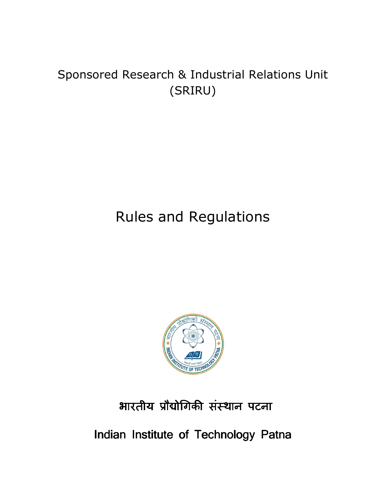## Sponsored Research & Industrial Relations Unit (SRIRU)

# Rules and Regulations



## भारतीय प्रौद्योगिकी संस्थान पटना

Indian Institute of Technology Patna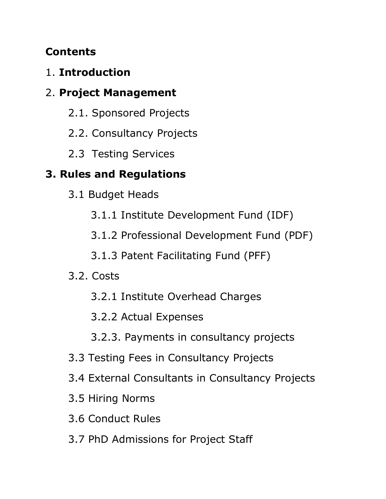## **Contents**

## 1. **Introduction**

## 2. **Project Management**

- 2.1. Sponsored Projects
- 2.2. Consultancy Projects
- 2.3 Testing Services

## **3. Rules and Regulations**

- 3.1 Budget Heads
	- 3.1.1 Institute Development Fund (IDF)
	- 3.1.2 Professional Development Fund (PDF)
	- 3.1.3 Patent Facilitating Fund (PFF)
- 3.2. Costs
	- 3.2.1 Institute Overhead Charges
	- 3.2.2 Actual Expenses
	- 3.2.3. Payments in consultancy projects
- 3.3 Testing Fees in Consultancy Projects
- 3.4 External Consultants in Consultancy Projects
- 3.5 Hiring Norms
- 3.6 Conduct Rules
- 3.7 PhD Admissions for Project Staff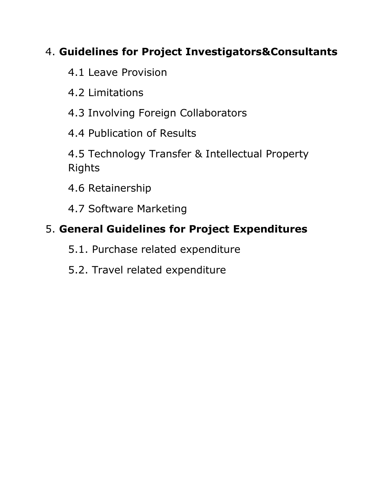## 4. **Guidelines for Project Investigators&Consultants**

- 4.1 Leave Provision
- 4.2 Limitations
- 4.3 Involving Foreign Collaborators
- 4.4 Publication of Results
- 4.5 Technology Transfer & Intellectual Property Rights
- 4.6 Retainership
- 4.7 Software Marketing

## 5. **General Guidelines for Project Expenditures**

- 5.1. Purchase related expenditure
- 5.2. Travel related expenditure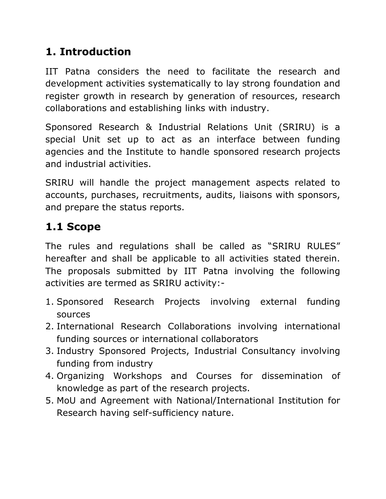## **1. Introduction**

IIT Patna considers the need to facilitate the research and development activities systematically to lay strong foundation and register growth in research by generation of resources, research collaborations and establishing links with industry.

Sponsored Research & Industrial Relations Unit (SRIRU) is a special Unit set up to act as an interface between funding agencies and the Institute to handle sponsored research projects and industrial activities.

SRIRU will handle the project management aspects related to accounts, purchases, recruitments, audits, liaisons with sponsors, and prepare the status reports.

## **1.1 Scope**

The rules and regulations shall be called as "SRIRU RULES" hereafter and shall be applicable to all activities stated therein. The proposals submitted by IIT Patna involving the following activities are termed as SRIRU activity:-

- 1. Sponsored Research Projects involving external funding sources
- 2. International Research Collaborations involving international funding sources or international collaborators
- 3. Industry Sponsored Projects, Industrial Consultancy involving funding from industry
- 4. Organizing Workshops and Courses for dissemination of knowledge as part of the research projects.
- 5. MoU and Agreement with National/International Institution for Research having self-sufficiency nature.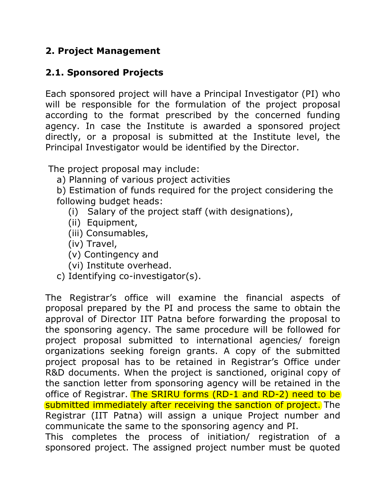## **2. Project Management**

## **2.1. Sponsored Projects**

Each sponsored project will have a Principal Investigator (PI) who will be responsible for the formulation of the project proposal according to the format prescribed by the concerned funding agency. In case the Institute is awarded a sponsored project directly, or a proposal is submitted at the Institute level, the Principal Investigator would be identified by the Director.

The project proposal may include:

a) Planning of various project activities

b) Estimation of funds required for the project considering the following budget heads:

- (i) Salary of the project staff (with designations),
- (ii) Equipment,
- (iii) Consumables,
- (iv) Travel,
- (v) Contingency and
- (vi) Institute overhead.
- c) Identifying co-investigator(s).

The Registrar's office will examine the financial aspects of proposal prepared by the PI and process the same to obtain the approval of Director IIT Patna before forwarding the proposal to the sponsoring agency. The same procedure will be followed for project proposal submitted to international agencies/ foreign organizations seeking foreign grants. A copy of the submitted project proposal has to be retained in Registrar's Office under R&D documents. When the project is sanctioned, original copy of the sanction letter from sponsoring agency will be retained in the office of Registrar. The SRIRU forms (RD-1 and RD-2) need to be submitted immediately after receiving the sanction of project. The Registrar (IIT Patna) will assign a unique Project number and communicate the same to the sponsoring agency and PI.

This completes the process of initiation/ registration of a sponsored project. The assigned project number must be quoted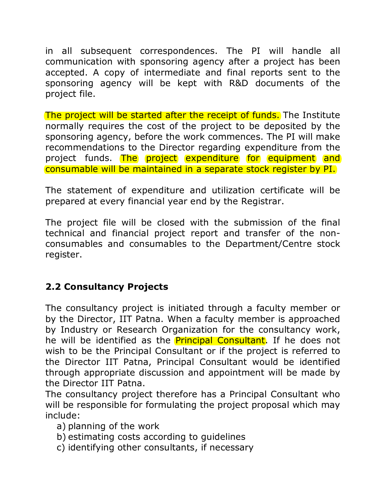in all subsequent correspondences. The PI will handle all communication with sponsoring agency after a project has been accepted. A copy of intermediate and final reports sent to the sponsoring agency will be kept with R&D documents of the project file.

The project will be started after the receipt of funds. The Institute normally requires the cost of the project to be deposited by the sponsoring agency, before the work commences. The PI will make recommendations to the Director regarding expenditure from the project funds. The project expenditure for equipment and consumable will be maintained in a separate stock register by PI.

The statement of expenditure and utilization certificate will be prepared at every financial year end by the Registrar.

The project file will be closed with the submission of the final technical and financial project report and transfer of the nonconsumables and consumables to the Department/Centre stock register.

## **2.2 Consultancy Projects**

The consultancy project is initiated through a faculty member or by the Director, IIT Patna. When a faculty member is approached by Industry or Research Organization for the consultancy work, he will be identified as the **Principal Consultant**. If he does not wish to be the Principal Consultant or if the project is referred to the Director IIT Patna, Principal Consultant would be identified through appropriate discussion and appointment will be made by the Director IIT Patna.

The consultancy project therefore has a Principal Consultant who will be responsible for formulating the project proposal which may include:

- a) planning of the work
- b) estimating costs according to guidelines
- c) identifying other consultants, if necessary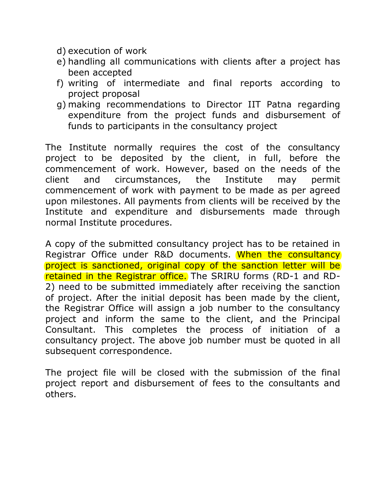- d) execution of work
- e) handling all communications with clients after a project has been accepted
- f) writing of intermediate and final reports according to project proposal
- g) making recommendations to Director IIT Patna regarding expenditure from the project funds and disbursement of funds to participants in the consultancy project

The Institute normally requires the cost of the consultancy project to be deposited by the client, in full, before the commencement of work. However, based on the needs of the client and circumstances, the Institute may permit commencement of work with payment to be made as per agreed upon milestones. All payments from clients will be received by the Institute and expenditure and disbursements made through normal Institute procedures.

A copy of the submitted consultancy project has to be retained in Registrar Office under R&D documents. When the consultancy project is sanctioned, original copy of the sanction letter will be retained in the Registrar office. The SRIRU forms (RD-1 and RD-2) need to be submitted immediately after receiving the sanction of project. After the initial deposit has been made by the client, the Registrar Office will assign a job number to the consultancy project and inform the same to the client, and the Principal Consultant. This completes the process of initiation of a consultancy project. The above job number must be quoted in all subsequent correspondence.

The project file will be closed with the submission of the final project report and disbursement of fees to the consultants and others.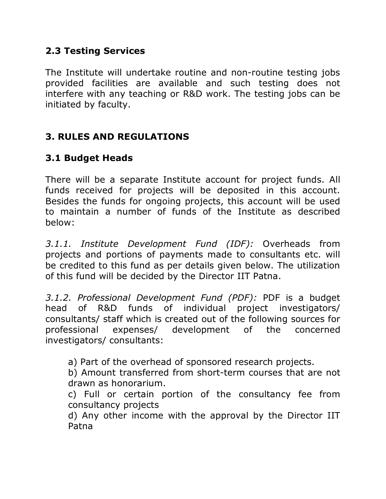### **2.3 Testing Services**

The Institute will undertake routine and non-routine testing jobs provided facilities are available and such testing does not interfere with any teaching or R&D work. The testing jobs can be initiated by faculty.

## **3. RULES AND REGULATIONS**

#### **3.1 Budget Heads**

There will be a separate Institute account for project funds. All funds received for projects will be deposited in this account. Besides the funds for ongoing projects, this account will be used to maintain a number of funds of the Institute as described below:

*3.1.1. Institute Development Fund (IDF):* Overheads from projects and portions of payments made to consultants etc. will be credited to this fund as per details given below. The utilization of this fund will be decided by the Director IIT Patna.

*3.1.2. Professional Development Fund (PDF):* PDF is a budget head of R&D funds of individual project investigators/ consultants/ staff which is created out of the following sources for professional expenses/ development of the concerned investigators/ consultants:

a) Part of the overhead of sponsored research projects.

b) Amount transferred from short-term courses that are not drawn as honorarium.

c) Full or certain portion of the consultancy fee from consultancy projects

d) Any other income with the approval by the Director IIT Patna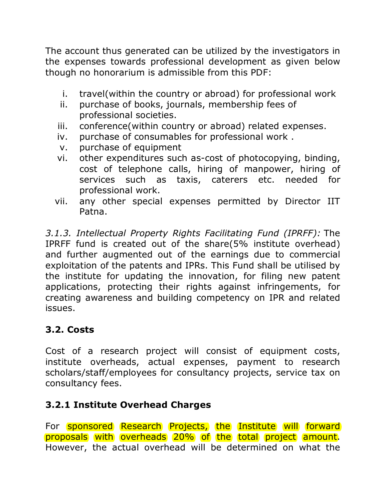The account thus generated can be utilized by the investigators in the expenses towards professional development as given below though no honorarium is admissible from this PDF:

- i. travel(within the country or abroad) for professional work
- ii. purchase of books, journals, membership fees of professional societies.
- iii. conference(within country or abroad) related expenses.
- iv. purchase of consumables for professional work .
- v. purchase of equipment
- vi. other expenditures such as-cost of photocopying, binding, cost of telephone calls, hiring of manpower, hiring of services such as taxis, caterers etc. needed for professional work.
- vii. any other special expenses permitted by Director IIT Patna.

*3.1.3. Intellectual Property Rights Facilitating Fund (IPRFF):* The IPRFF fund is created out of the share(5% institute overhead) and further augmented out of the earnings due to commercial exploitation of the patents and IPRs. This Fund shall be utilised by the institute for updating the innovation, for filing new patent applications, protecting their rights against infringements, for creating awareness and building competency on IPR and related issues.

## **3.2. Costs**

Cost of a research project will consist of equipment costs, institute overheads, actual expenses, payment to research scholars/staff/employees for consultancy projects, service tax on consultancy fees.

## **3.2.1 Institute Overhead Charges**

For sponsored Research Projects, the Institute will forward proposals with overheads 20% of the total project amount. However, the actual overhead will be determined on what the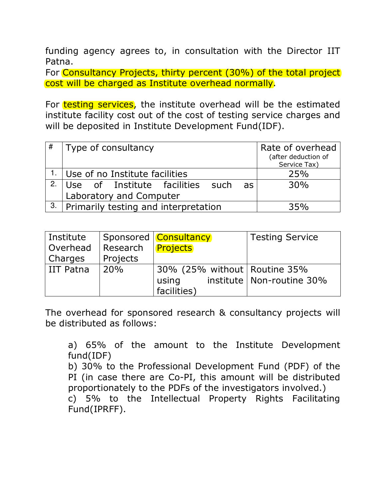funding agency agrees to, in consultation with the Director IIT Patna.

For Consultancy Projects, thirty percent (30%) of the total project cost will be charged as Institute overhead normally.

For testing services, the institute overhead will be the estimated institute facility cost out of the cost of testing service charges and will be deposited in Institute Development Fund(IDF).

| #  | Type of consultancy                      | Rate of overhead    |
|----|------------------------------------------|---------------------|
|    |                                          | (after deduction of |
|    |                                          | Service Tax)        |
|    | $1.$ Use of no Institute facilities      | 25%                 |
| 2. | Use of Institute facilities such<br>as l | 30%                 |
|    | Laboratory and Computer                  |                     |
| 3. | Primarily testing and interpretation     | 35%                 |

| Institute   |                     | Sponsored   Consultancy                  | <b>Testing Service</b>      |
|-------------|---------------------|------------------------------------------|-----------------------------|
| Overhead    | Research   Projects |                                          |                             |
| Charges     | Projects            |                                          |                             |
| l IIT Patna | 20%                 | $\,$ 30% (25% without   Routine 35% $\,$ |                             |
|             |                     | using                                    | institute   Non-routine 30% |
|             |                     | facilities)                              |                             |

The overhead for sponsored research & consultancy projects will be distributed as follows:

a) 65% of the amount to the Institute Development fund(IDF)

b) 30% to the Professional Development Fund (PDF) of the PI (in case there are Co-PI, this amount will be distributed proportionately to the PDFs of the investigators involved.)

c) 5% to the Intellectual Property Rights Facilitating Fund(IPRFF).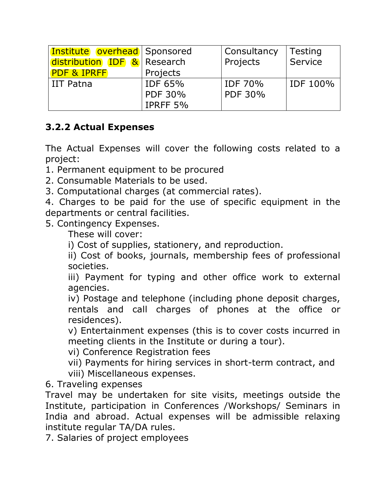| <b>Institute overhead</b> Sponsored |          | Consultancy | Testing         |
|-------------------------------------|----------|-------------|-----------------|
| distribution IDF & Research         |          | Projects    | Service         |
| <b>PDF &amp; IPRFF</b>              | Projects |             |                 |
| <b>IIT Patna</b>                    | IDF 65%  | IDF 70%     | <b>IDF 100%</b> |
|                                     | PDF 30%  | PDF 30%     |                 |
|                                     | IPRFF 5% |             |                 |

## **3.2.2 Actual Expenses**

The Actual Expenses will cover the following costs related to a project:

1. Permanent equipment to be procured

- 2. Consumable Materials to be used.
- 3. Computational charges (at commercial rates).

4. Charges to be paid for the use of specific equipment in the departments or central facilities.

5. Contingency Expenses.

These will cover:

i) Cost of supplies, stationery, and reproduction.

ii) Cost of books, journals, membership fees of professional societies.

iii) Payment for typing and other office work to external agencies.

iv) Postage and telephone (including phone deposit charges, rentals and call charges of phones at the office or residences).

v) Entertainment expenses (this is to cover costs incurred in meeting clients in the Institute or during a tour).

vi) Conference Registration fees

vii) Payments for hiring services in short-term contract, and viii) Miscellaneous expenses.

6. Traveling expenses

Travel may be undertaken for site visits, meetings outside the Institute, participation in Conferences /Workshops/ Seminars in India and abroad. Actual expenses will be admissible relaxing institute regular TA/DA rules.

7. Salaries of project employees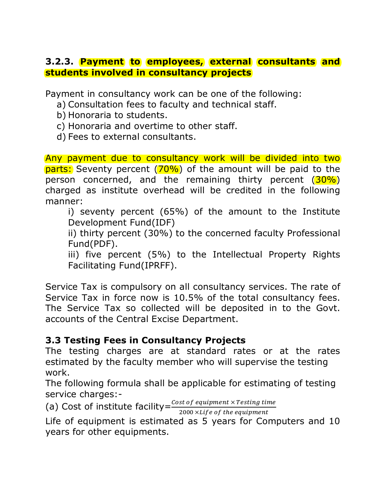#### **3.2.3. Payment to employees, external consultants and students involved in consultancy projects**

Payment in consultancy work can be one of the following:

- a) Consultation fees to faculty and technical staff.
- b) Honoraria to students.
- c) Honoraria and overtime to other staff.
- d) Fees to external consultants.

Any payment due to consultancy work will be divided into two parts: Seventy percent (70%) of the amount will be paid to the person concerned, and the remaining thirty percent (30%) charged as institute overhead will be credited in the following manner:

i) seventy percent (65%) of the amount to the Institute Development Fund(IDF)

ii) thirty percent (30%) to the concerned faculty Professional Fund(PDF).

iii) five percent (5%) to the Intellectual Property Rights Facilitating Fund(IPRFF).

Service Tax is compulsory on all consultancy services. The rate of Service Tax in force now is 10.5% of the total consultancy fees. The Service Tax so collected will be deposited in to the Govt. accounts of the Central Excise Department.

#### **3.3 Testing Fees in Consultancy Projects**

The testing charges are at standard rates or at the rates estimated by the faculty member who will supervise the testing work.

The following formula shall be applicable for estimating of testing service charges:-

(a) Cost of institute facility= $\frac{Cost\ of\ equipment\times Testing\ time}{3000\times U}$ 

2000 × Life of the equipment

Life of equipment is estimated as 5 years for Computers and 10 years for other equipments.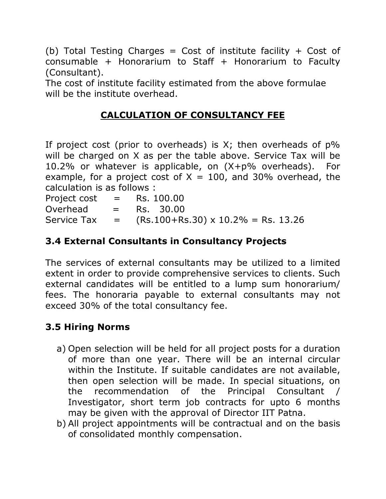(b) Total Testing Charges = Cost of institute facility + Cost of consumable + Honorarium to Staff + Honorarium to Faculty (Consultant).

The cost of institute facility estimated from the above formulae will be the institute overhead.

## **CALCULATION OF CONSULTANCY FEE**

If project cost (prior to overheads) is  $X$ ; then overheads of  $p\%$ will be charged on X as per the table above. Service Tax will be 10.2% or whatever is applicable, on (X+p% overheads). For example, for a project cost of  $X = 100$ , and 30% overhead, the calculation is as follows :

Project cost  $=$  Rs. 100.00  $Overhead = Rs. 30.00$ Service Tax  $=$   $(Rs.100 + Rs.30) \times 10.2\% = Rs. 13.26$ 

## **3.4 External Consultants in Consultancy Projects**

The services of external consultants may be utilized to a limited extent in order to provide comprehensive services to clients. Such external candidates will be entitled to a lump sum honorarium/ fees. The honoraria payable to external consultants may not exceed 30% of the total consultancy fee.

## **3.5 Hiring Norms**

- a) Open selection will be held for all project posts for a duration of more than one year. There will be an internal circular within the Institute. If suitable candidates are not available, then open selection will be made. In special situations, on the recommendation of the Principal Consultant / Investigator, short term job contracts for upto 6 months may be given with the approval of Director IIT Patna.
- b) All project appointments will be contractual and on the basis of consolidated monthly compensation.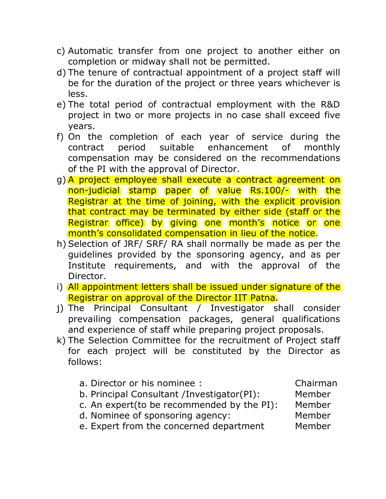- c) Automatic transfer from one project to another either on completion or midway shall not be permitted.
- d) The tenure of contractual appointment of a project staff will be for the duration of the project or three years whichever is less.
- e) The total period of contractual employment with the R&D project in two or more projects in no case shall exceed five years.
- f) On the completion of each year of service during the contract period suitable enhancement of monthly compensation may be considered on the recommendations of the PI with the approval of Director.
- g) A project employee shall execute a contract agreement on non-judicial stamp paper of value Rs.100/- with the Registrar at the time of joining, with the explicit provision that contract may be terminated by either side (staff or the Registrar office) by giving one month's notice or one month's consolidated compensation in lieu of the notice.
- h) Selection of JRF/ SRF/ RA shall normally be made as per the guidelines provided by the sponsoring agency, and as per Institute requirements, and with the approval of the Director.
- i) All appointment letters shall be issued under signature of the Registrar on approval of the Director IIT Patna.
- j) The Principal Consultant / Investigator shall consider prevailing compensation packages, general qualifications and experience of staff while preparing project proposals.
- k) The Selection Committee for the recruitment of Project staff for each project will be constituted by the Director as follows:
	- a. Director or his nominee : Chairman b. Principal Consultant /Investigator(PI): Member c. An expert(to be recommended by the PI): Member
	- d. Nominee of sponsoring agency: Member
- - e. Expert from the concerned department Member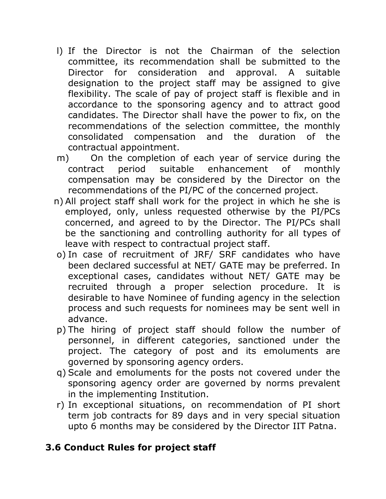- l) If the Director is not the Chairman of the selection committee, its recommendation shall be submitted to the Director for consideration and approval. A suitable designation to the project staff may be assigned to give flexibility. The scale of pay of project staff is flexible and in accordance to the sponsoring agency and to attract good candidates. The Director shall have the power to fix, on the recommendations of the selection committee, the monthly consolidated compensation and the duration of the contractual appointment.
- m) On the completion of each year of service during the contract period suitable enhancement of monthly compensation may be considered by the Director on the recommendations of the PI/PC of the concerned project.
- n) All project staff shall work for the project in which he she is employed, only, unless requested otherwise by the PI/PCs concerned, and agreed to by the Director. The PI/PCs shall be the sanctioning and controlling authority for all types of leave with respect to contractual project staff.
- o) In case of recruitment of JRF/ SRF candidates who have been declared successful at NET/ GATE may be preferred. In exceptional cases, candidates without NET/ GATE may be recruited through a proper selection procedure. It is desirable to have Nominee of funding agency in the selection process and such requests for nominees may be sent well in advance.
- p) The hiring of project staff should follow the number of personnel, in different categories, sanctioned under the project. The category of post and its emoluments are governed by sponsoring agency orders.
- q) Scale and emoluments for the posts not covered under the sponsoring agency order are governed by norms prevalent in the implementing Institution.
- r) In exceptional situations, on recommendation of PI short term job contracts for 89 days and in very special situation upto 6 months may be considered by the Director IIT Patna.

## **3.6 Conduct Rules for project staff**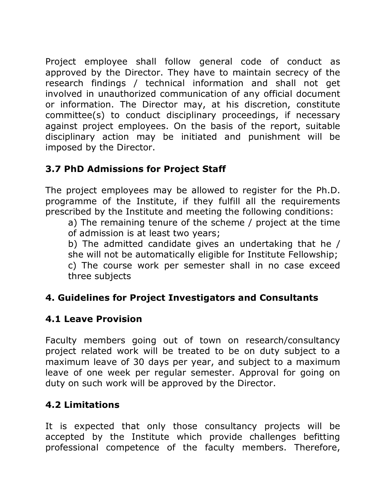Project employee shall follow general code of conduct as approved by the Director. They have to maintain secrecy of the research findings / technical information and shall not get involved in unauthorized communication of any official document or information. The Director may, at his discretion, constitute committee(s) to conduct disciplinary proceedings, if necessary against project employees. On the basis of the report, suitable disciplinary action may be initiated and punishment will be imposed by the Director.

## **3.7 PhD Admissions for Project Staff**

The project employees may be allowed to register for the Ph.D. programme of the Institute, if they fulfill all the requirements prescribed by the Institute and meeting the following conditions:

a) The remaining tenure of the scheme / project at the time of admission is at least two years;

b) The admitted candidate gives an undertaking that he / she will not be automatically eligible for Institute Fellowship; c) The course work per semester shall in no case exceed three subjects

## **4. Guidelines for Project Investigators and Consultants**

## **4.1 Leave Provision**

Faculty members going out of town on research/consultancy project related work will be treated to be on duty subject to a maximum leave of 30 days per year, and subject to a maximum leave of one week per regular semester. Approval for going on duty on such work will be approved by the Director.

## **4.2 Limitations**

It is expected that only those consultancy projects will be accepted by the Institute which provide challenges befitting professional competence of the faculty members. Therefore,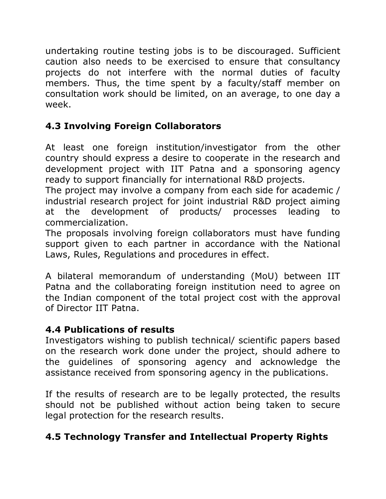undertaking routine testing jobs is to be discouraged. Sufficient caution also needs to be exercised to ensure that consultancy projects do not interfere with the normal duties of faculty members. Thus, the time spent by a faculty/staff member on consultation work should be limited, on an average, to one day a week.

## **4.3 Involving Foreign Collaborators**

At least one foreign institution/investigator from the other country should express a desire to cooperate in the research and development project with IIT Patna and a sponsoring agency ready to support financially for international R&D projects.

The project may involve a company from each side for academic / industrial research project for joint industrial R&D project aiming at the development of products/ processes leading to commercialization.

The proposals involving foreign collaborators must have funding support given to each partner in accordance with the National Laws, Rules, Regulations and procedures in effect.

A bilateral memorandum of understanding (MoU) between IIT Patna and the collaborating foreign institution need to agree on the Indian component of the total project cost with the approval of Director IIT Patna.

## **4.4 Publications of results**

Investigators wishing to publish technical/ scientific papers based on the research work done under the project, should adhere to the guidelines of sponsoring agency and acknowledge the assistance received from sponsoring agency in the publications.

If the results of research are to be legally protected, the results should not be published without action being taken to secure legal protection for the research results.

## **4.5 Technology Transfer and Intellectual Property Rights**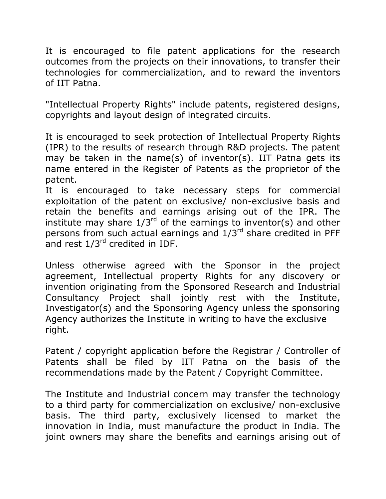It is encouraged to file patent applications for the research outcomes from the projects on their innovations, to transfer their technologies for commercialization, and to reward the inventors of IIT Patna.

"Intellectual Property Rights" include patents, registered designs, copyrights and layout design of integrated circuits.

It is encouraged to seek protection of Intellectual Property Rights (IPR) to the results of research through R&D projects. The patent may be taken in the name(s) of inventor(s). IIT Patna gets its name entered in the Register of Patents as the proprietor of the patent.

It is encouraged to take necessary steps for commercial exploitation of the patent on exclusive/ non-exclusive basis and retain the benefits and earnings arising out of the IPR. The institute may share  $1/3^{rd}$  of the earnings to inventor(s) and other persons from such actual earnings and  $1/3<sup>rd</sup>$  share credited in PFF and rest  $1/3^{rd}$  credited in IDF.

Unless otherwise agreed with the Sponsor in the project agreement, Intellectual property Rights for any discovery or invention originating from the Sponsored Research and Industrial Consultancy Project shall jointly rest with the Institute, Investigator(s) and the Sponsoring Agency unless the sponsoring Agency authorizes the Institute in writing to have the exclusive right.

Patent / copyright application before the Registrar / Controller of Patents shall be filed by IIT Patna on the basis of the recommendations made by the Patent / Copyright Committee.

The Institute and Industrial concern may transfer the technology to a third party for commercialization on exclusive/ non-exclusive basis. The third party, exclusively licensed to market the innovation in India, must manufacture the product in India. The joint owners may share the benefits and earnings arising out of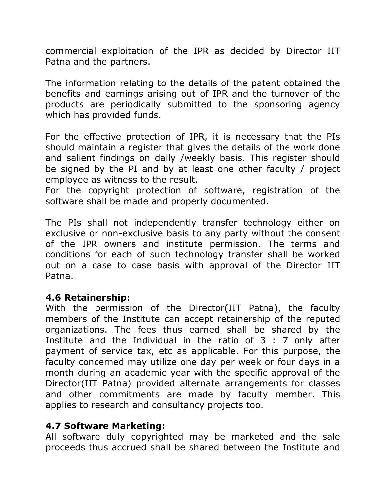commercial exploitation of the IPR as decided by Director IIT Patna and the partners.

The information relating to the details of the patent obtained the benefits and earnings arising out of IPR and the turnover of the products are periodically submitted to the sponsoring agency which has provided funds.

For the effective protection of IPR, it is necessary that the PIs should maintain a register that gives the details of the work done and salient findings on daily /weekly basis. This register should be signed by the PI and by at least one other faculty / project employee as witness to the result.

For the copyright protection of software, registration of the software shall be made and properly documented.

The PIs shall not independently transfer technology either on exclusive or non-exclusive basis to any party without the consent of the IPR owners and institute permission. The terms and conditions for each of such technology transfer shall be worked out on a case to case basis with approval of the Director IIT Patna.

#### **4.6 Retainership:**

With the permission of the Director(IIT Patna), the faculty members of the Institute can accept retainership of the reputed organizations. The fees thus earned shall be shared by the Institute and the Individual in the ratio of 3 : 7 only after payment of service tax, etc as applicable. For this purpose, the faculty concerned may utilize one day per week or four days in a month during an academic year with the specific approval of the Director(IIT Patna) provided alternate arrangements for classes and other commitments are made by faculty member. This applies to research and consultancy projects too.

#### **4.7 Software Marketing:**

All software duly copyrighted may be marketed and the sale proceeds thus accrued shall be shared between the Institute and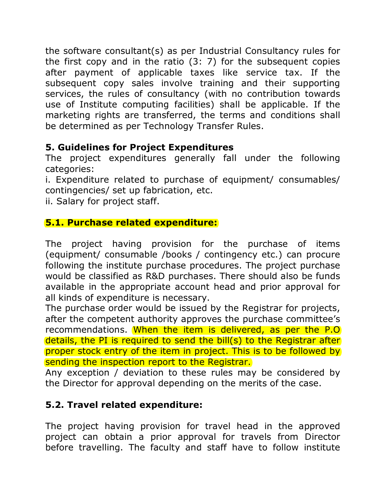the software consultant(s) as per Industrial Consultancy rules for the first copy and in the ratio (3: 7) for the subsequent copies after payment of applicable taxes like service tax. If the subsequent copy sales involve training and their supporting services, the rules of consultancy (with no contribution towards use of Institute computing facilities) shall be applicable. If the marketing rights are transferred, the terms and conditions shall be determined as per Technology Transfer Rules.

## **5. Guidelines for Project Expenditures**

The project expenditures generally fall under the following categories:

i. Expenditure related to purchase of equipment/ consumables/ contingencies/ set up fabrication, etc.

ii. Salary for project staff.

#### **5.1. Purchase related expenditure:**

The project having provision for the purchase of items (equipment/ consumable /books / contingency etc.) can procure following the institute purchase procedures. The project purchase would be classified as R&D purchases. There should also be funds available in the appropriate account head and prior approval for all kinds of expenditure is necessary.

The purchase order would be issued by the Registrar for projects, after the competent authority approves the purchase committee's recommendations. When the item is delivered, as per the P.O details, the PI is required to send the bill(s) to the Registrar after proper stock entry of the item in project. This is to be followed by sending the inspection report to the Registrar.

Any exception / deviation to these rules may be considered by the Director for approval depending on the merits of the case.

## **5.2. Travel related expenditure:**

The project having provision for travel head in the approved project can obtain a prior approval for travels from Director before travelling. The faculty and staff have to follow institute